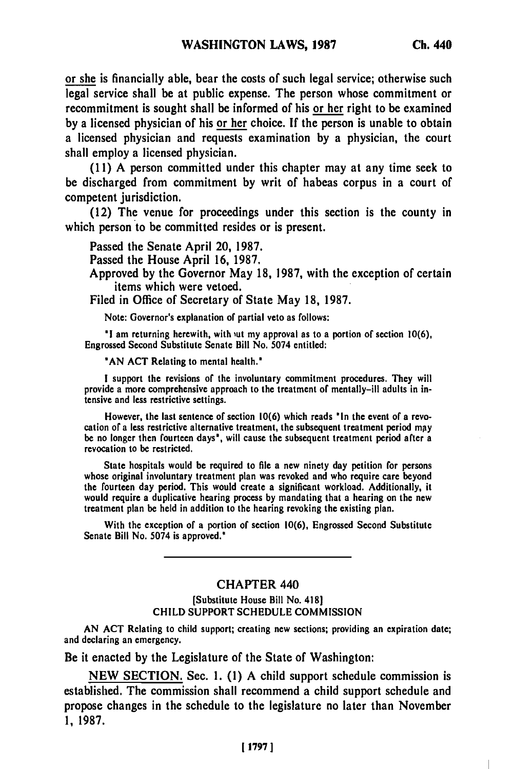or she is financially able, bear the costs of such legal service; otherwise such legal service shall be at public expense. The person whose commitment or recommitment is sought shall be informed of his or her right to be examined **by** a licensed physician of his or her choice. **If** the person is unable to obtain a licensed physician and requests examination **by** a physician, the court shall employ a licensed physician.

**(11) A** person committed under this chapter may at any time seek to be discharged from commitment **by** writ of habeas corpus in a court of competent jurisdiction.

(12) The venue for proceedings under this section is the county in which person to be committed resides or is present.

Passed the Senate April 20, **1987.**

Passed the House April **16, 1987.**

Approved **by** the Governor May **18, 1987,** with the exception of certain items which were vetoed.

Filed in Office of Secretary of State May **18, 1987.**

Note: Governor's explanation of partial veto as follows:

**'I** am returning herewith, with iut my approval as to a portion **of** section **10(6),** Engrossed Second Substitute Senate Bill No. 5074 entitled:

**'AN ACT** Relating to mental health.'

**I** support the revisions of the involuntary commitment procedures. They will provide a more comprehensive approach to the treatment of mentally-ill adults in intensive and less restrictive settings.

However, the last sentence of section **10(6)** which reads 'In the event of a revocation of a less restrictive alternative treatment, the subsequent treatment period mgy be no longer then fourteen days', will cause the subsequent treatment period after a revocation to be restricted.

State hospitals would be required to file a new ninety day petition for persons whose original involuntary treatment plan was revoked and who require care beyond whose original involutitaty treatment plan was revoked and who require care oeyond<br>the fourteen day period. This would create a significant workload. Additionally, it the fourteen day period. This would create a significant workload. Additionally, it<br>would coavize a duplicative hearing process by mandating that a hearing on the new would require a duplicative hearing process by mandating that a hearing on the new treatment plan be held in addition to the hearing revoking the existing plan.

With the exception of a portion of section **10(6),** Engrossed Second Substitute Senate Bill No. 5074 is approved.'

## **CHAPTER 440**

[Substitute House Bill No. 418] **CHILD** SUPPORT **SCHEDULE COMMISSION**

**AN ACT** Relating to child support; creating new sections; providing an expiration date; and declaring an emergency.

Be it enacted **by** the Legislature of the State of Washington:

**NEW** SECTION. Sec. **1. (1) A** child support schedule commission is established. The commission shall recommend a child support schedule and propose changes in the schedule to the legislature no later than November **1, 1987.**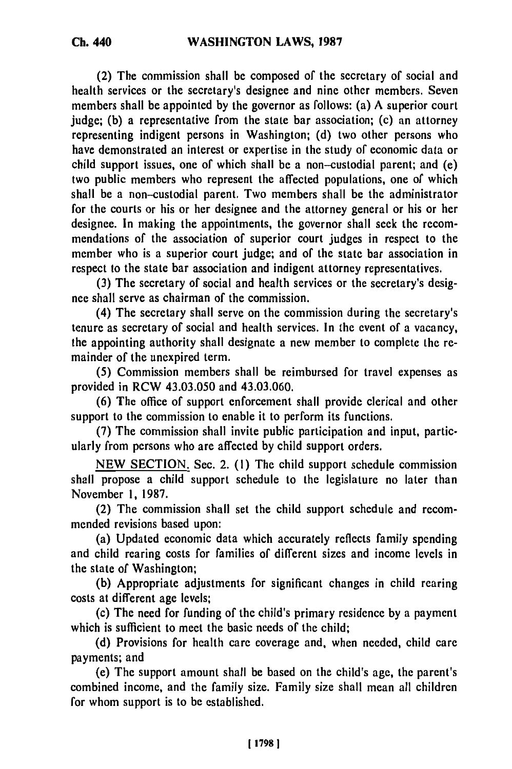(2) The commission shall be composed of the secretary of social and health services or the secretary's designee and nine other members. Seven members shall be appointed **by** the governor as follows: (a) A superior court judge; (b) a representative from the state bar association; (c) an attorney representing indigent persons in Washington; (d) two other persons who have demonstrated an interest or expertise in the study of economic data or child support issues, one of which shall be a non-custodial parent; and (e) two public members who represent the affected populations, one of which shall be a non-custodial parent. Two members shall be the administrator for the courts or his or her designee and the attorney general or his or her designee. In making the appointments, the governor shall seek the recommendations of the association of superior court judges in respect to the member who is a superior court judge; and of the state bar association in respect to the state bar association and indigent attorney representatives.

**(3)** The secretary of social and health services or the secretary's designee shall serve as chairman of the commission.

(4) The secretary shall serve on the commission during the secretary's tenure as secretary of social and health services. In the event of a vacancy, the appointing authority shall designate a new member to complete the remainder of the unexpired term.

**(5)** Commission members shall be reimbursed for travel expenses as provided in RCW 43.03.050 and 43.03.060.

**(6)** The office of support enforcement shall provide clerical and other support to the commission to enable it to perform its functions.

(7) The commission shall invite public participation and input, particularly from persons who are affected **by** child support orders.

NEW SECTION. Sec. 2. (1) The child support schedule commission shall propose a child support schedule to the legislature no later than November 1, 1987.

(2) The commission shall set the child support schedule and recommended revisions based upon:

(a) Updated economic data which accurately reflects family spending and child rearing costs for families of different sizes and income levels in the state of Washington;

**(b)** Appropriate adjustments for significant changes in child rearing costs at different age levels;

(c) The need for funding of the child's primary residence **by** a payment which is sufficient to meet the basic needs of the child;

**(d)** Provisions for health care coverage and, when needed, child care payments; and

(e) The support amount shall be based on the child's age, the parent's combined income, and the family size. Family size shall mean all children for whom support is to be established.